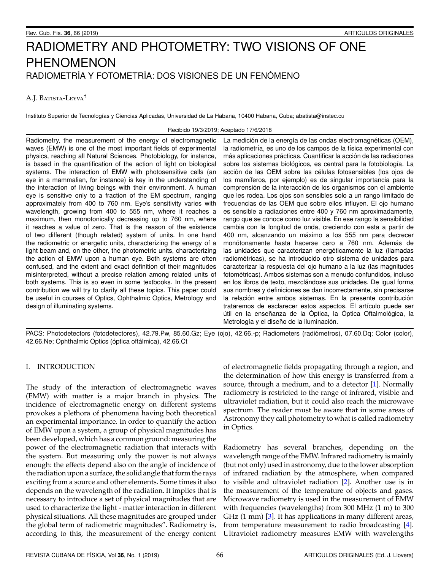# RADIOMETRY AND PHOTOMETRY: TWO VISIONS OF ONE PHENOMENON RADIOMETRÍA Y FOTOMETRÍA: DOS VISIONES DE UN FENÓMENO

# A.J. BATISTA-LEYVA<sup>†</sup>

Instituto Superior de Tecnologías y Ciencias Aplicadas, Universidad de La Habana, 10400 Habana, Cuba; abatista@instec.cu

### Recibido 19/3/2019; Aceptado 17/6/2018

Radiometry, the measurement of the energy of electromagnetic waves (EMW) is one of the most important fields of experimental physics, reaching all Natural Sciences. Photobiology, for instance, is based in the quantification of the action of light on biological systems. The interaction of EMW with photosensitive cells (an eye in a mammalian, for instance) is key in the understanding of the interaction of living beings with their environment. A human eye is sensitive only to a fraction of the EM spectrum, ranging approximately from 400 to 760 nm. Eye's sensitivity varies with wavelength, growing from 400 to 555 nm, where it reaches a maximum, then monotonically decreasing up to 760 nm, where it reaches a value of zero. That is the reason of the existence of two different (though related) system of units. In one hand the radiometric or energetic units, characterizing the energy of a light beam and, on the other, the photometric units, characterizing the action of EMW upon a human eye. Both systems are often confused, and the extent and exact definition of their magnitudes misinterpreted, without a precise relation among related units of both systems. This is so even in some textbooks. In the present contribution we will try to clarify all these topics. This paper could be useful in courses of Optics, Ophthalmic Optics, Metrology and design of illuminating systems.

La medición de la energía de las ondas electromagnéticas (OEM), la radiometría, es uno de los campos de la física experimental con más aplicaciones prácticas. Cuantificar la acción de las radiaciones sobre los sistemas biológicos, es central para la fotobiología. La acción de las OEM sobre las células fotosensibles (los ojos de los mamíferos, por ejemplo) es de singular importancia para la comprensión de la interacción de los organismos con el ambiente que les rodea. Los ojos son sensibles solo a un rango limitado de frecuencias de las OEM que sobre ellos influyen. El ojo humano es sensible a radiaciones entre 400 y 760 nm aproximadamente, rango que se conoce como luz visible. En ese rango la sensibilidad cambia con la longitud de onda, creciendo con esta a partir de 400 nm, alcanzando un máximo a los 555 nm para decrecer monótonamente hasta hacerse cero a 760 nm. Además de las unidades que caracterizan energéticamente la luz (llamadas radiometricas), se ha introducido otro sistema de unidades para ´ caracterizar la respuesta del ojo humano a la luz (las magnitudes fotometricas). Ambos sistemas son a menudo confundidos, incluso ´ en los libros de texto, mezclándose sus unidades. De igual forma sus nombres y definiciones se dan incorrectamente, sin precisarse la relación entre ambos sistemas. En la presente contribución trataremos de esclarecer estos aspectos. El artículo puede ser útil en la enseñanza de la Óptica, la Óptica Oftalmológica, la Metrología y el diseño de la iluminación.

PACS: Photodetectors (fotodetectores), 42.79.Pw, 85.60.Gz; Eye (ojo), 42.66.-p; Radiometers (radiómetros), 07.60.Dq; Color (color), 42.66. Ne; Ophthalmic Optics (óptica oftálmica), 42.66. Ct

## I. INTRODUCTION

The study of the interaction of electromagnetic waves (EMW) with matter is a major branch in physics. The incidence of electromagnetic energy on different systems provokes a plethora of phenomena having both theoretical an experimental importance. In order to quantify the action of EMW upon a system, a group of physical magnitudes has been developed, which has a common ground: measuring the power of the electromagnetic radiation that interacts with the system. But measuring only the power is not always enough: the effects depend also on the angle of incidence of the radiation upon a surface, the solid angle that form the rays exciting from a source and other elements. Some times it also depends on the wavelength of the radiation. It implies that is necessary to introduce a set of physical magnitudes that are used to characterize the light - matter interaction in different physical situations. All these magnitudes are grouped under the global term of radiometric magnitudes". Radiometry is, according to this, the measurement of the energy content

of electromagnetic fields propagating through a region, and the determination of how this energy is transferred from a source, through a medium, and to a detector [\[1\]](#page-6-0). Normally radiometry is restricted to the range of infrared, visible and ultraviolet radiation, but it could also reach the microwave spectrum. The reader must be aware that in some areas of Astronomy they call photometry to what is called radiometry in Optics.

Radiometry has several branches, depending on the wavelength range of the EMW. Infrared radiometry is mainly (but not only) used in astronomy, due to the lower absorption of infrared radiation by the atmosphere, when compared to visible and ultraviolet radiation [\[2\]](#page-6-1). Another use is in the measurement of the temperature of objects and gases. Microwave radiometry is used in the measurement of EMW with frequencies (wavelengths) from 300 MHz (1 m) to 300 GHz (1 mm) [\[3\]](#page-6-2). It has applications in many different areas, from temperature measurement to radio broadcasting [\[4\]](#page-6-3). Ultraviolet radiometry measures EMW with wavelengths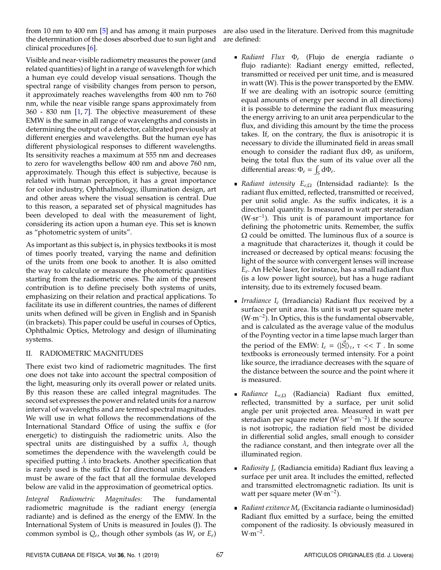from 10 nm to 400 nm [\[5\]](#page-6-4) and has among it main purposes the determination of the doses absorbed due to sun light and clinical procedures [\[6\]](#page-6-5).

are also used in the literature. Derived from this magnitude are defined:

Visible and near-visible radiometry measures the power (and related quantities) of light in a range of wavelength for which a human eye could develop visual sensations. Though the spectral range of visibility changes from person to person, it approximately reaches wavelengths from 400 nm to 760 nm, while the near visible range spans approximately from 360 - 830 nm [\[1,](#page-6-0) [7\]](#page-6-6). The objective measurement of these EMW is the same in all range of wavelengths and consists in determining the output of a detector, calibrated previously at different energies and wavelengths. But the human eye has different physiological responses to different wavelengths. Its sensitivity reaches a maximum at 555 nm and decreases to zero for wavelengths bellow 400 nm and above 760 nm, approximately. Though this effect is subjective, because is related with human perception, it has a great importance for color industry, Ophthalmology, illumination design, art and other areas where the visual sensation is central. Due to this reason, a separated set of physical magnitudes has been developed to deal with the measurement of light, considering its action upon a human eye. This set is known as "photometric system of units".

As important as this subject is, in physics textbooks it is most of times poorly treated, varying the name and definition of the units from one book to another. It is also omitted the way to calculate or measure the photometric quantities starting from the radiometric ones. The aim of the present contribution is to define precisely both systems of units, emphasizing on their relation and practical applications. To facilitate its use in different countries, the names of different units when defined will be given in English and in Spanish (in brackets). This paper could be useful in courses of Optics, Ophthalmic Optics, Metrology and design of illuminating systems.

# II. RADIOMETRIC MAGNITUDES

There exist two kind of radiometric magnitudes. The first one does not take into account the spectral composition of the light, measuring only its overall power or related units. By this reason these are called integral magnitudes. The second set expresses the power and related units for a narrow interval of wavelengths and are termed spectral magnitudes. We will use in what follows the recommendations of the International Standard Office of using the suffix e (for energetic) to distinguish the radiometric units. Also the spectral units are distinguished by a suffix  $\lambda$ , though sometimes the dependence with the wavelength could be specified putting  $\lambda$  into brackets. Another specification that is rarely used is the suffix  $\Omega$  for directional units. Readers must be aware of the fact that all the formulae developed below are valid in the approximation of geometrical optics.

*Integral Radiometric Magnitudes:* The fundamental radiometric magnitude is the radiant energy (energía radiante) and is defined as the energy of the EMW. In the International System of Units is measured in Joules (J). The common symbol is *Q<sup>e</sup>* , though other symbols (as *W<sup>e</sup>* or *Ee*)

- **■** *Radiant Flux*  $Φ_e$  (Flujo de energía radiante o flujo radiante): Radiant energy emitted, reflected, transmitted or received per unit time, and is measured in watt (W). This is the power transported by the EMW. If we are dealing with an isotropic source (emitting equal amounts of energy per second in all directions) it is possible to determine the radiant flux measuring the energy arriving to an unit area perpendicular to the flux, and dividing this amount by the time the process takes. If, on the contrary, the flux is anisotropic it is necessary to divide the illuminated field in areas small enough to consider the radiant flux dΦ*<sup>e</sup>* as uniform, being the total flux the sum of its value over all the differential areas:  $\Phi_e = \int_S d\Phi_e$ .
- *Radiant intensity Ee*,<sup>Ω</sup> (Intensidad radiante): Is the radiant flux emitted, reflected, transmitted or received, per unit solid angle. As the suffix indicates, it is a directional quantity. Is measured in watt per steradian (W·sr<sup>−</sup><sup>1</sup> ). This unit is of paramount importance for defining the photometric units. Remember, the suffix  $\Omega$  could be omitted. The luminous flux of a source is a magnitude that characterizes it, though it could be increased or decreased by optical means: focusing the light of the source with convergent lenses will increase *Ee* . An HeNe laser, for instance, has a small radiant flux (is a low power light source), but has a huge radiant intensity, due to its extremely focused beam.
- *Irradiance I<sup>e</sup>* (Irradiancia) Radiant flux received by a surface per unit area. Its unit is watt per square meter (W·m<sup>−</sup><sup>2</sup> ). In Optics, this is the fundamental observable, and is calculated as the average value of the modulus of the Poynting vector in a time lapse much larger than the period of the EMW:  $I_e = \langle |\vec{S}| \rangle_\tau$ ,  $\tau \ll T$ . In some textbooks is erroneously termed intensity. For a point like source, the irradiance decreases with the square of the distance between the source and the point where it is measured.
- *Radiance Le*,<sup>Ω</sup> (Radiancia) Radiant flux emitted, reflected, transmitted by a surface, per unit solid angle per unit projected area. Measured in watt per steradian per square meter (W·sr<sup>-1</sup>·m<sup>-2</sup>). If the source is not isotropic, the radiation field most be divided in differential solid angles, small enough to consider the radiance constant, and then integrate over all the illuminated region.
- *Radiosity J<sup>e</sup>* (Radiancia emitida) Radiant flux leaving a surface per unit area. It includes the emitted, reflected and transmitted electromagnetic radiation. Its unit is watt per square meter (W·m<sup>−</sup><sup>2</sup> ).
- *Radiant exitance*  $M_e$  (Excitancia radiante o luminosidad) Radiant flux emitted by a surface, being the emitted component of the radiosity. Is obviously measured in  $W·m^{-2}$ .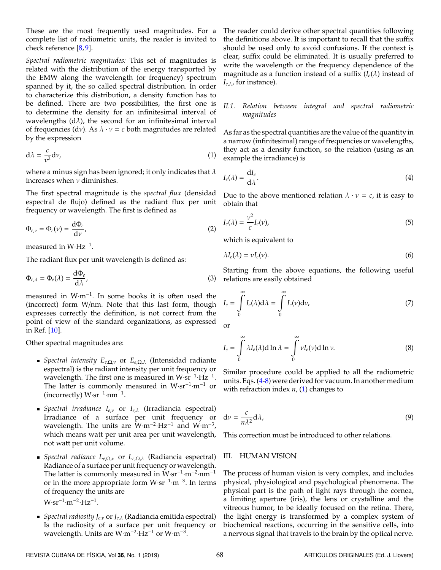These are the most frequently used magnitudes. For a complete list of radiometric units, the reader is invited to check reference [\[8,](#page-6-7) [9\]](#page-6-8).

*Spectral radiometric magnitudes:* This set of magnitudes is related with the distribution of the energy transported by the EMW along the wavelength (or frequency) spectrum spanned by it, the so called spectral distribution. In order to characterize this distribution, a density function has to be defined. There are two possibilities, the first one is to determine the density for an infinitesimal interval of wavelengths  $(d\lambda)$ , the second for an infinitesimal interval of frequencies (dv). As  $\lambda \cdot v = c$  both magnitudes are related by the expression

<span id="page-2-2"></span>
$$
d\lambda = \frac{c}{v^2} dv,
$$
 (1)

where a minus sign has been ignored; it only indicates that  $\lambda$ increases when  $\nu$  diminishes.

The first spectral magnitude is the *spectral flux* (densidad espectral de flujo) defined as the radiant flux per unit frequency or wavelength. The first is defined as

$$
\Phi_{e,\nu} = \Phi_e(\nu) = \frac{\mathrm{d}\Phi_e}{\mathrm{d}\nu},\tag{2}
$$

measured in W⋅Hz<sup>-1</sup>.

The radiant flux per unit wavelength is defined as:

$$
\Phi_{e,\lambda} = \Phi_e(\lambda) = \frac{\mathrm{d}\Phi_e}{\mathrm{d}\lambda},\tag{3}
$$

measured in W·m<sup>−</sup><sup>1</sup> . In some books it is often used the (incorrect) form W/nm. Note that this last form, though expresses correctly the definition, is not correct from the point of view of the standard organizations, as expressed in Ref. [\[10\]](#page-6-9).

Other spectral magnitudes are:

- *Spectral intensity Ee*,Ω,ν or *Ee*,Ω,λ (Intensidad radiante espectral) is the radiant intensity per unit frequency or wavelength. The first one is measured in  $W \cdot sr^{-1} \cdot Hz^{-1}$ . The latter is commonly measured in W⋅sr<sup>-1</sup>⋅m<sup>-1</sup> or  $(incorrectly) W·sr^{-1}·nm^{-1}.$
- *Spectral irradiance Ie*,ν or *Ie*,λ (Irradiancia espectral) Irradiance of a surface per unit frequency or wavelength. The units are W·m<sup>-2</sup>·Hz<sup>-1</sup> and W·m<sup>-3</sup>, which means watt per unit area per unit wavelength, not watt per unit volume.
- *Spectral radiance Le*,Ω,ν or *Le*,Ω,λ (Radiancia espectral) Radiance of a surface per unit frequency or wavelength. The latter is commonly measured in W⋅sr<sup>-1</sup>⋅m<sup>-2</sup>⋅nm<sup>-1</sup> or in the more appropriate form W·sr<sup>-1</sup>·m<sup>-3</sup>. In terms of frequency the units are  $W·sr^{-1}·m^{-2}·Hz^{-1}$ .
- *Spectral radiosity Je*,ν or *Je*,λ (Radiancia emitida espectral) Is the radiosity of a surface per unit frequency or wavelength. Units are W·m<sup>-2</sup>·Hz<sup>-1</sup> or W·m<sup>-3</sup>.

The reader could derive other spectral quantities following the definitions above. It is important to recall that the suffix should be used only to avoid confusions. If the context is clear, suffix could be eliminated. It is usually preferred to write the wavelength or the frequency dependence of the magnitude as a function instead of a suffix  $(I_e(\lambda))$  instead of *Ie*,λ, for instance).

#### *II.1. Relation between integral and spectral radiometric magnitudes*

As far as the spectral quantities are the value of the quantity in a narrow (infinitesimal) range of frequencies or wavelengths, they act as a density function, so the relation (using as an example the irradiance) is

<span id="page-2-0"></span>
$$
I_e(\lambda) = \frac{\mathrm{d}I_e}{\mathrm{d}\lambda}.\tag{4}
$$

Due to the above mentioned relation  $\lambda \cdot \nu = c$ , it is easy to obtain that

$$
I_e(\lambda) = \frac{\nu^2}{c} I_e(\nu),
$$
\n(5)

which is equivalent to

$$
\lambda I_e(\lambda) = \nu I_e(\nu). \tag{6}
$$

Starting from the above equations, the following useful relations are easily obtained

$$
I_e = \int_0^\infty I_e(\lambda) d\lambda = \int_0^\infty I_e(\nu) d\nu,
$$
\n(7)

<span id="page-2-1"></span>or

$$
I_e = \int\limits_0^\infty \lambda I_e(\lambda) d\ln\lambda = \int\limits_0^\infty \nu I_e(\nu) d\ln\nu.
$$
 (8)

Similar procedure could be applied to all the radiometric units. Eqs. [\(4-](#page-2-0)[8\)](#page-2-1) were derived for vacuum. In another medium with refraction index *n*, [\(1\)](#page-2-2) changes to

$$
dv = \frac{c}{n\lambda^2}d\lambda,\tag{9}
$$

This correction must be introduced to other relations.

#### III. HUMAN VISION

The process of human vision is very complex, and includes physical, physiological and psychological phenomena. The physical part is the path of light rays through the cornea, a limiting aperture (iris), the lens or crystalline and the vitreous humor, to be ideally focused on the retina. There, the light energy is transformed by a complex system of biochemical reactions, occurring in the sensitive cells, into a nervous signal that travels to the brain by the optical nerve.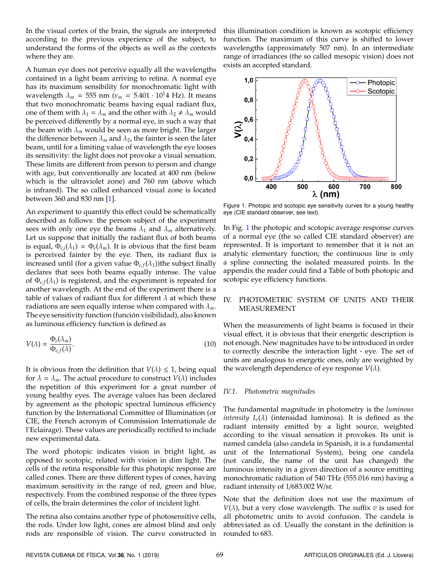In the visual cortex of the brain, the signals are interpreted according to the previous experience of the subject, to understand the forms of the objects as well as the contexts where they are.

A human eye does not perceive equally all the wavelengths contained in a light beam arriving to retina. A normal eye has its maximum sensibility for monochromatic light with wavelength  $\lambda_m = 555$  nm ( $v_m = 5.401 \cdot 10^14$  Hz). It means that two monochromatic beams having equal radiant flux, one of them with  $\lambda_1 = \lambda_m$  and the other with  $\lambda_2 \neq \lambda_m$  would be perceived differently by a normal eye, in such a way that the beam with  $\lambda_m$  would be seen as more bright. The larger the difference between  $\lambda_m$  and  $\lambda_2$ , the fainter is seen the later beam, until for a limiting value of wavelength the eye looses its sensitivity: the light does not provoke a visual sensation. These limits are different from person to person and change with age, but conventionally are located at 400 nm (below which is the ultraviolet zone) and 760 nm (above which is infrared). The so called enhanced visual zone is located between 360 and 830 nm [\[1\]](#page-6-0).

An experiment to quantify this effect could be schematically described as follows: the person subject of the experiment sees with only one eye the beams  $\lambda_1$  and  $\lambda_m$  alternatively. Let us suppose that initially the radiant flux of both beams is equal,  $\Phi_{e,i}(\lambda_1) = \Phi_e(\lambda_m)$ . It is obvious that the first beam is perceived fainter by the eye. Then, its radiant flux is increased until (for a given value  $\Phi_{e,f}(\lambda_1)$ )the subject finally declares that sees both beams equally intense. The value of  $\Phi$ <sub>e, *f*</sub>( $\lambda$ <sub>1</sub>) is registered, and the experiment is repeated for another wavelength. At the end of the experiment there is a table of values of radiant flux for different  $\lambda$  at which these radiations are seen equally intense when compared with λ*m*. The eye sensitivity function (función visibilidad), also known as luminous efficiency function is defined as

$$
V(\lambda) = \frac{\Phi_e(\lambda_m)}{\Phi_{e,f}(\lambda)}.
$$
\n(10)

It is obvious from the definition that  $V(\lambda) \leq 1$ , being equal for  $\lambda = \lambda_m$ . The actual procedure to construct  $V(\lambda)$  includes the repetition of this experiment for a great number of young healthy eyes. The average values has been declared by agreement as the photopic spectral luminous efficiency function by the International Committee of Illumination (or CIE, the French acronym of Commission Internationale de l'Eclairage). These values are periodically rectified to include new experimental data.

The word photopic indicates vision in bright light, as opposed to scotopic, related with vision in dim light. The cells of the retina responsible for this photopic response are called cones. There are three different types of cones, having maximum sensitivity in the range of red, green and blue, respectively. From the combined response of the three types of cells, the brain determines the color of incident light.

The retina also contains another type of photosensitive cells, the rods. Under low light, cones are almost blind and only rods are responsible of vision. The curve constructed in this illumination condition is known as scotopic efficiency function. The maximum of this curve is shifted to lower wavelengths (approximately 507 nm). In an intermediate range of irradiances (the so called mesopic vision) does not exists an accepted standard.

<span id="page-3-0"></span>

Figure 1. Photopic and scotopic eye sensitivity curves for a young healthy eye (CIE standard observer, see text).

In Fig. [1](#page-3-0) the photopic and scotopic average response curves of a normal eye (the so called CIE standard observer) are represented. It is important to remember that it is not an analytic elementary function; the continuous line is only a spline connecting the isolated measured points. In the appendix the reader could find a Table of both photopic and scotopic eye efficiency functions.

#### IV. PHOTOMETRIC SYSTEM OF UNITS AND THEIR MEASUREMENT

<span id="page-3-1"></span>When the measurements of light beams is focused in their visual effect, it is obvious that their energetic description is not enough. New magnitudes have to be introduced in order to correctly describe the interaction light - eye. The set of units are analogous to energetic ones, only are weighted by the wavelength dependence of eye response  $V(\lambda)$ .

### *IV.1. Photometric magnitudes*

The fundamental magnitude in photometry is the *luminous intensity*  $I_v(\lambda)$  (intensidad luminosa). It is defined as the radiant intensity emitted by a light source, weighted according to the visual sensation it provokes. Its unit is named candela (also candela in Spanish, it is a fundamental unit of the International System), being one candela (not candle, the name of the unit has changed) the luminous intensity in a given direction of a source emitting monochromatic radiation of 540 THz (555.016 nm) having a radiant intensity of 1/683.002 W/sr.

Note that the definition does not use the maximum of  $V(\lambda)$ , but a very close wavelength. The suffix  $v$  is used for all photometric units to avoid confusion. The candela is abbreviated as cd. Usually the constant in the definition is rounded to 683.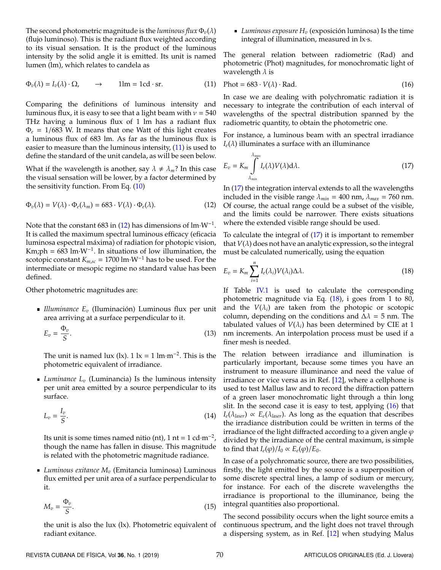The second photometric magnitude is the *luminous*  $flux \Phi_v(\lambda)$ (flujo luminoso). This is the radiant flux weighted according to its visual sensation. It is the product of the luminous intensity by the solid angle it is emitted. Its unit is named lumen (lm), which relates to candela as

<span id="page-4-0"></span>
$$
\Phi_v(\lambda) = I_v(\lambda) \cdot \Omega, \qquad \to \qquad 1 \text{lm} = 1 \text{cd} \cdot \text{sr}. \tag{11}
$$

Comparing the definitions of luminous intensity and luminous flux, it is easy to see that a light beam with  $\nu = 540$ THz having a luminous flux of 1 lm has a radiant flux Φ*<sup>e</sup>* = 1/683 W. It means that one Watt of this light creates a luminous flux of 683 lm. As far as the luminous flux is easier to measure than the luminous intensity, [\(11\)](#page-4-0) is used to define the standard of the unit candela, as will be seen below.

<span id="page-4-1"></span>What if the wavelength is another, say  $\lambda \neq \lambda_m$ ? In this case the visual sensation will be lower, by a factor determined by the sensitivity function. From Eq. [\(10\)](#page-3-1)

$$
\Phi_v(\lambda) = V(\lambda) \cdot \Phi_e(\lambda_m) = 683 \cdot V(\lambda) \cdot \Phi_e(\lambda). \tag{12}
$$

Note that the constant 683 in [\(12\)](#page-4-1) has dimensions of  $\text{Im}\cdot W^{-1}$ . It is called the maximum spectral luminous efficacy (eficacia luminosa espectral máxima) of radiation for photopic vision, Km;ph =  $683 \text{ lm} \cdot \text{W}^{-1}$ . In situations of low illumination, the scotopic constant  $K_{m,sc} = 1700 \text{ lm} \cdot \text{W}^{-1}$  has to be used. For the intermediate or mesopic regime no standard value has been defined.

Other photometric magnitudes are:

*Illuminance*  $E_v$  (Iluminación) Luminous flux per unit area arriving at a surface perpendicular to it.

$$
E_v = \frac{\Phi_v}{S}.\tag{13}
$$

The unit is named lux (lx).  $1 \text{ lx} = 1 \text{ lm} \cdot \text{m}^{-2}$ . This is the photometric equivalent of irradiance.

*Luminance L<sup>v</sup>* (Luminancia) Is the luminous intensity per unit area emitted by a source perpendicular to its surface.

$$
L_v = \frac{I_v}{S}.\tag{14}
$$

Its unit is some times named nitio (nt), 1 nt =  $1$  cd·m<sup>-2</sup>, though the name has fallen in disuse. This magnitude is related with the photometric magnitude radiance.

*Luminous exitance M<sup>v</sup>* (Emitancia luminosa) Luminous flux emitted per unit area of a surface perpendicular to it.

$$
M_v = \frac{\Phi_v}{S}.\tag{15}
$$

the unit is also the lux (lx). Photometric equivalent of radiant exitance.

 $\blacksquare$  *Luminous exposure*  $H_v$  (exposición luminosa) Is the time integral of illumination, measured in lx·s.

<span id="page-4-4"></span>The general relation between radiometric (Rad) and photometric (Phot) magnitudes, for monochromatic light of wavelength  $\lambda$  is

$$
Phot = 683 \cdot V(\lambda) \cdot Rad.
$$
 (16)

In case we are dealing with polychromatic radiation it is necessary to integrate the contribution of each interval of wavelengths of the spectral distribution spanned by the radiometric quantity, to obtain the photometric one.

<span id="page-4-2"></span>For instance, a luminous beam with an spectral irradiance  $I_e(\lambda)$  illuminates a surface with an illuminance

$$
E_v = K_m \int_{\lambda_{min}}^{\lambda_{max}} I_e(\lambda) V(\lambda) d\lambda.
$$
 (17)

In [\(17\)](#page-4-2) the integration interval extends to all the wavelengths included in the visible range  $\lambda_{min} = 400$  nm,  $\lambda_{max} = 760$  nm. Of course, the actual range could be a subset of the visible, and the limits could be narrower. There exists situations where the extended visible range should be used.

To calculate the integral of [\(17\)](#page-4-2) it is important to remember that  $V(\lambda)$  does not have an analytic expression, so the integral must be calculated numerically, using the equation

<span id="page-4-3"></span>
$$
E_v = K_m \sum_{i=1}^n I_e(\lambda_i) V(\lambda_i) \Delta \lambda.
$$
 (18)

If Table [IV.1](#page-5-0) is used to calculate the corresponding photometric magnitude via Eq. [\(18\)](#page-4-3), i goes from 1 to 80, and the  $V(\lambda_i)$  are taken from the photopic or scotopic column, depending on the conditions and  $\Delta \lambda = 5$  nm. The tabulated values of  $V(\lambda_i)$  has been determined by CIE at 1 nm increments. An interpolation process must be used if a finer mesh is needed.

The relation between irradiance and illumination is particularly important, because some times you have an instrument to measure illuminance and need the value of irradiance or vice versa as in Ref. [\[12\]](#page-6-10), where a cellphone is used to test Mallus law and to record the diffraction pattern of a green laser monochromatic light through a thin long slit. In the second case it is easy to test, applying [\(16\)](#page-4-4) that  $I_e(\lambda_{laser}) \propto E_e(\lambda_{laser})$ . As long as the equation that describes the irradiance distribution could be written in terms of the irradiance of the light diffracted according to a given angle  $\varphi$ divided by the irradiance of the central maximum, is simple to find that  $I_e(\varphi)/I_0 \propto E_e(\varphi)/E_0$ .

In case of a polychromatic source, there are two possibilities, firstly, the light emitted by the source is a superposition of some discrete spectral lines, a lamp of sodium or mercury, for instance. For each of the discrete wavelengths the irradiance is proportional to the illuminance, being the integral quantities also proportional.

The second possibility occurs when the light source emits a continuous spectrum, and the light does not travel through a dispersing system, as in Ref. [\[12\]](#page-6-10) when studying Malus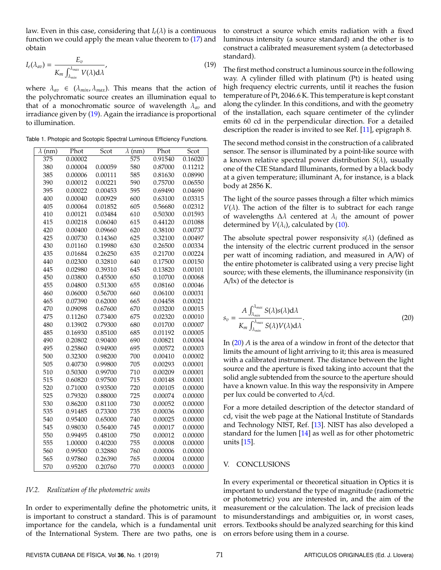<span id="page-5-0"></span>law. Even in this case, considering that  $I_e(\lambda)$  is a continuous function we could apply the mean value theorem to [\(17\)](#page-4-2) and obtain

$$
I_e(\lambda_{av}) = \frac{E_v}{K_m \int_{\lambda_{min}}^{\lambda_{max}} V(\lambda) d\lambda'},
$$
\n(19)

where  $\lambda_{av} \in (\lambda_{min}, \lambda_{max})$ . This means that the action of the polychromatic source creates an illumination equal to that of a monochromatic source of wavelength λ*av* and irradiance given by [\(19\)](#page-5-0). Again the irradiance is proportional to illumination.

Table 1. Photopic and Scotopic Spectral Luminous Efficiency Functions.

| $\lambda$ (nm) | Phot    | Scot    | $\lambda$ (nm) | Phot    | Scot    |
|----------------|---------|---------|----------------|---------|---------|
| 375            | 0.00002 |         | 575            | 0.91540 | 0.16020 |
| 380            | 0.00004 | 0.00059 | 580            | 0.87000 | 0.11212 |
| 385            | 0.00006 | 0.00111 | 585            | 0.81630 | 0.08990 |
| 390            | 0.00012 | 0.00221 | 590            | 0.75700 | 0.06550 |
| 395            | 0.00022 | 0.00453 | 595            | 0.69490 | 0.04690 |
| 400            | 0.00040 | 0.00929 | 600            | 0.63100 | 0.03315 |
| 405            | 0.00064 | 0.01852 | 605            | 0.56680 | 0.02312 |
| 410            | 0.00121 | 0.03484 | 610            | 0.50300 | 0.01593 |
| 415            | 0.00218 | 0.06040 | 615            | 0.44120 | 0.01088 |
| 420            | 0.00400 | 0.09660 | 620            | 0.38100 | 0.00737 |
| 425            | 0.00730 | 0.14360 | 625            | 0.32100 | 0.00497 |
| 430            | 0.01160 | 0.19980 | 630            | 0.26500 | 0.00334 |
| 435            | 0.01684 | 0.26250 | 635            | 0.21700 | 0.00224 |
| 440            | 0.02300 | 0.32810 | 640            | 0.17500 | 0.00150 |
| 445            | 0.02980 | 0.39310 | 645            | 0.13820 | 0.00101 |
| 450            | 0.03800 | 0.45500 | 650            | 0.10700 | 0.00068 |
| 455            | 0.04800 | 0.51300 | 655            | 0.08160 | 0.00046 |
| 460            | 0.06000 | 0.56700 | 660            | 0.06100 | 0.00031 |
| 465            | 0.07390 | 0.62000 | 665            | 0.04458 | 0.00021 |
| 470            | 0.09098 | 0.67600 | 670            | 0.03200 | 0.00015 |
| 475            | 0.11260 | 0.73400 | 675            | 0.02320 | 0.00010 |
| 480            | 0.13902 | 0.79300 | 680            | 0.01700 | 0.00007 |
| 485            | 0.16930 | 0.85100 | 685            | 0.01192 | 0.00005 |
| 490            | 0.20802 | 0.90400 | 690            | 0.00821 | 0.00004 |
| 495            | 0.25860 | 0.94900 | 695            | 0.00572 | 0.00003 |
| 500            | 0.32300 | 0.98200 | 700            | 0.00410 | 0.00002 |
| 505            | 0.40730 | 0.99800 | 705            | 0.00293 | 0.00001 |
| 510            | 0.50300 | 0.99700 | 710            | 0.00209 | 0.00001 |
| 515            | 0.60820 | 0.97500 | 715            | 0.00148 | 0.00001 |
| 520            | 0.71000 | 0.93500 | 720            | 0.00105 | 0.00000 |
| 525            | 0.79320 | 0.88000 | 725            | 0.00074 | 0.00000 |
| 530            | 0.86200 | 0.81100 | 730            | 0.00052 | 0.00000 |
| 535            | 0.91485 | 0.73300 | 735            | 0.00036 | 0.00000 |
| 540            | 0.95400 | 0.65000 | 740            | 0.00025 | 0.00000 |
| 545            | 0.98030 | 0.56400 | 745            | 0.00017 | 0.00000 |
| 550            | 0.99495 | 0.48100 | 750            | 0.00012 | 0.00000 |
| 555            | 1.00000 | 0.40200 | 755            | 0.00008 | 0.00000 |
| 560            | 0.99500 | 0.32880 | 760            | 0.00006 | 0.00000 |
| 565            | 0.97860 | 0.26390 | 765            | 0.00004 | 0.00000 |
| 570            | 0.95200 | 0.20760 | 770            | 0.00003 | 0.00000 |

#### *IV.2. Realization of the photometric units*

In order to experimentally define the photometric units, it is important to construct a standard. This is of paramount importance for the candela, which is a fundamental unit of the International System. There are two paths, one is

to construct a source which emits radiation with a fixed luminous intensity (a source standard) and the other is to construct a calibrated measurement system (a detectorbased standard).

The first method construct a luminous source in the following way. A cylinder filled with platinum (Pt) is heated using high frequency electric currents, until it reaches the fusion temperature of Pt, 2046.6 K. This temperature is kept constant along the cylinder. In this conditions, and with the geometry of the installation, each square centimeter of the cylinder emits 60 cd in the perpendicular direction. For a detailed description the reader is invited to see Ref. [\[11\]](#page-6-11), epigraph 8.

The second method consist in the construction of a calibrated sensor. The sensor is illuminated by a point-like source with a known relative spectral power distribution *S*(λ), usually one of the CIE Standard Illuminants, formed by a black body at a given temperature; illuminant A, for instance, is a black body at 2856 K.

The light of the source passes through a filter which mimics  $V(\lambda)$ . The action of the filter is to subtract for each range of wavelengths ∆λ centered at λ*<sup>i</sup>* the amount of power determined by  $V(\lambda_i)$ , calculated by [\(10\)](#page-3-1).

The absolute spectral power responsivity *s*(λ) (defined as the intensity of the electric current produced in the sensor per watt of incoming radiation, and measured in A/W) of the entire photometer is calibrated using a very precise light source; with these elements, the illuminance responsivity (in A/lx) of the detector is

<span id="page-5-1"></span>
$$
s_v = \frac{A \int_{\lambda_{min}}^{\lambda_{max}} S(\lambda) s(\lambda) d\lambda}{K_m \int_{\lambda_{min}}^{\lambda_{max}} S(\lambda) V(\lambda) d\lambda}.
$$
 (20)

In [\(20\)](#page-5-1) *A* is the area of a window in front of the detector that limits the amount of light arriving to it; this area is measured with a calibrated instrument. The distance between the light source and the aperture is fixed taking into account that the solid angle subtended from the source to the aperture should have a known value. In this way the responsivity in Ampere per lux could be converted to *A*/cd.

For a more detailed description of the detector standard of cd, visit the web page at the National Institute of Standards and Technology NIST, Ref. [\[13\]](#page-6-12). NIST has also developed a standard for the lumen [\[14\]](#page-6-13) as well as for other photometric units [\[15\]](#page-6-14).

#### V. CONCLUSIONS

In every experimental or theoretical situation in Optics it is important to understand the type of magnitude (radiometric or photometric) you are interested in, and the aim of the measurement or the calculation. The lack of precision leads to misunderstandings and ambiguities or, in worst cases, errors. Textbooks should be analyzed searching for this kind on errors before using them in a course.